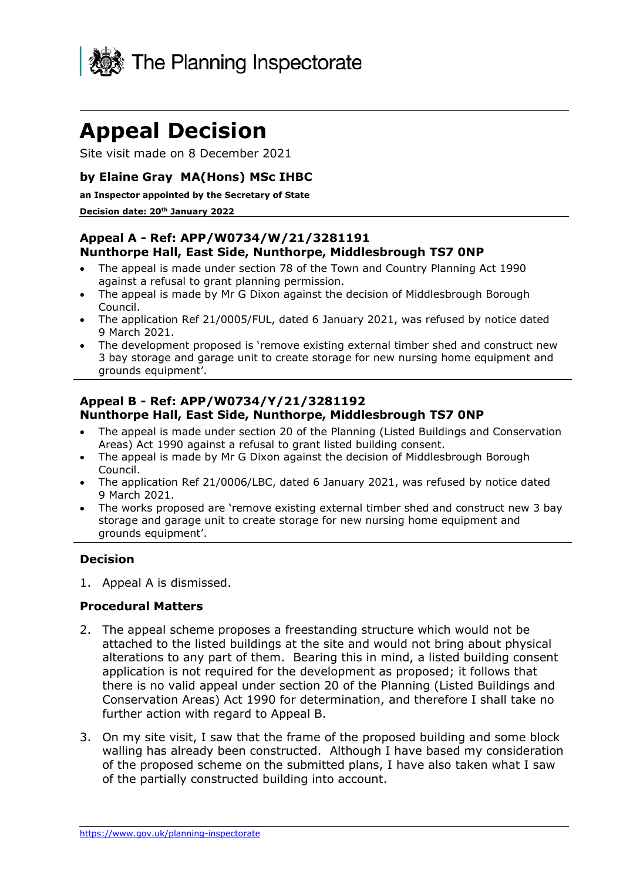

# **Appeal Decision**

Site visit made on 8 December 2021

## **by Elaine Gray MA(Hons) MSc IHBC**

#### **an Inspector appointed by the Secretary of State**

#### **Decision date: 20th January 2022**

## **Appeal A - Ref: APP/W0734/W/21/3281191 Nunthorpe Hall, East Side, Nunthorpe, Middlesbrough TS7 0NP**

- The appeal is made under section 78 of the Town and Country Planning Act 1990 against a refusal to grant planning permission.
- The appeal is made by Mr G Dixon against the decision of Middlesbrough Borough Council.
- The application Ref 21/0005/FUL, dated 6 January 2021, was refused by notice dated 9 March 2021.
- The development proposed is 'remove existing external timber shed and construct new 3 bay storage and garage unit to create storage for new nursing home equipment and grounds equipment'.

## **Appeal B - Ref: APP/W0734/Y/21/3281192 Nunthorpe Hall, East Side, Nunthorpe, Middlesbrough TS7 0NP**

- The appeal is made under section 20 of the Planning (Listed Buildings and Conservation Areas) Act 1990 against a refusal to grant listed building consent.
- The appeal is made by Mr G Dixon against the decision of Middlesbrough Borough Council.
- The application Ref 21/0006/LBC, dated 6 January 2021, was refused by notice dated 9 March 2021.
- The works proposed are 'remove existing external timber shed and construct new 3 bay storage and garage unit to create storage for new nursing home equipment and grounds equipment'.

## **Decision**

1. Appeal A is dismissed.

#### **Procedural Matters**

- 2. The appeal scheme proposes a freestanding structure which would not be attached to the listed buildings at the site and would not bring about physical alterations to any part of them. Bearing this in mind, a listed building consent application is not required for the development as proposed; it follows that there is no valid appeal under section 20 of the Planning (Listed Buildings and Conservation Areas) Act 1990 for determination, and therefore I shall take no further action with regard to Appeal B.
- 3. On my site visit, I saw that the frame of the proposed building and some block walling has already been constructed. Although I have based my consideration of the proposed scheme on the submitted plans, I have also taken what I saw of the partially constructed building into account.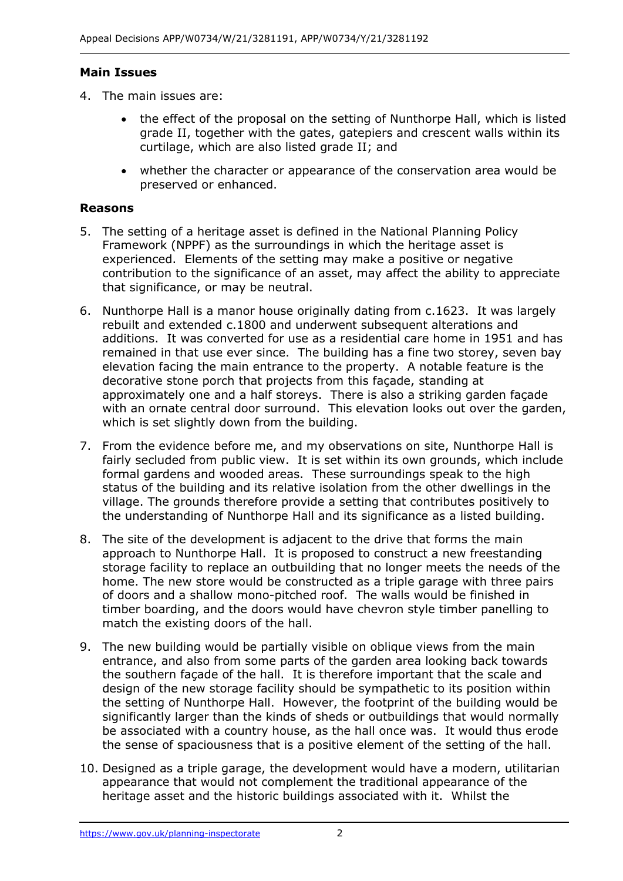## **Main Issues**

- 4. The main issues are:
	- the effect of the proposal on the setting of Nunthorpe Hall, which is listed grade II, together with the gates, gatepiers and crescent walls within its curtilage, which are also listed grade II; and
	- whether the character or appearance of the conservation area would be preserved or enhanced.

## **Reasons**

- 5. The setting of a heritage asset is defined in the National Planning Policy Framework (NPPF) as the surroundings in which the heritage asset is experienced. Elements of the setting may make a positive or negative contribution to the significance of an asset, may affect the ability to appreciate that significance, or may be neutral.
- 6. Nunthorpe Hall is a manor house originally dating from c.1623. It was largely rebuilt and extended c.1800 and underwent subsequent alterations and additions. It was converted for use as a residential care home in 1951 and has remained in that use ever since. The building has a fine two storey, seven bay elevation facing the main entrance to the property. A notable feature is the decorative stone porch that projects from this façade, standing at approximately one and a half storeys. There is also a striking garden façade with an ornate central door surround. This elevation looks out over the garden, which is set slightly down from the building.
- 7. From the evidence before me, and my observations on site, Nunthorpe Hall is fairly secluded from public view. It is set within its own grounds, which include formal gardens and wooded areas. These surroundings speak to the high status of the building and its relative isolation from the other dwellings in the village. The grounds therefore provide a setting that contributes positively to the understanding of Nunthorpe Hall and its significance as a listed building.
- 8. The site of the development is adjacent to the drive that forms the main approach to Nunthorpe Hall. It is proposed to construct a new freestanding storage facility to replace an outbuilding that no longer meets the needs of the home. The new store would be constructed as a triple garage with three pairs of doors and a shallow mono-pitched roof. The walls would be finished in timber boarding, and the doors would have chevron style timber panelling to match the existing doors of the hall.
- 9. The new building would be partially visible on oblique views from the main entrance, and also from some parts of the garden area looking back towards the southern façade of the hall. It is therefore important that the scale and design of the new storage facility should be sympathetic to its position within the setting of Nunthorpe Hall. However, the footprint of the building would be significantly larger than the kinds of sheds or outbuildings that would normally be associated with a country house, as the hall once was. It would thus erode the sense of spaciousness that is a positive element of the setting of the hall.
- 10. Designed as a triple garage, the development would have a modern, utilitarian appearance that would not complement the traditional appearance of the heritage asset and the historic buildings associated with it. Whilst the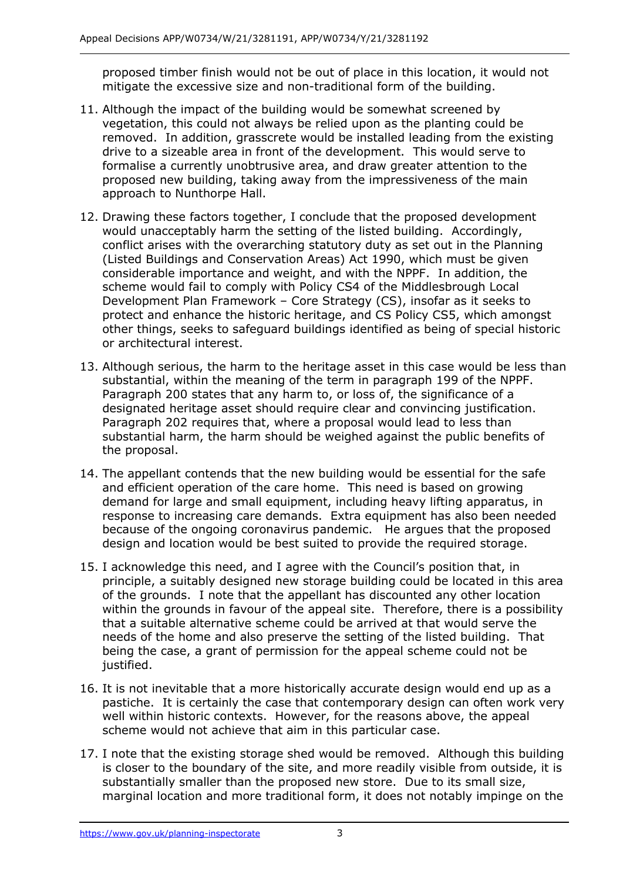proposed timber finish would not be out of place in this location, it would not mitigate the excessive size and non-traditional form of the building.

- 11. Although the impact of the building would be somewhat screened by vegetation, this could not always be relied upon as the planting could be removed. In addition, grasscrete would be installed leading from the existing drive to a sizeable area in front of the development. This would serve to formalise a currently unobtrusive area, and draw greater attention to the proposed new building, taking away from the impressiveness of the main approach to Nunthorpe Hall.
- 12. Drawing these factors together, I conclude that the proposed development would unacceptably harm the setting of the listed building. Accordingly, conflict arises with the overarching statutory duty as set out in the Planning (Listed Buildings and Conservation Areas) Act 1990, which must be given considerable importance and weight, and with the NPPF. In addition, the scheme would fail to comply with Policy CS4 of the Middlesbrough Local Development Plan Framework – Core Strategy (CS), insofar as it seeks to protect and enhance the historic heritage, and CS Policy CS5, which amongst other things, seeks to safeguard buildings identified as being of special historic or architectural interest.
- 13. Although serious, the harm to the heritage asset in this case would be less than substantial, within the meaning of the term in paragraph 199 of the NPPF. Paragraph 200 states that any harm to, or loss of, the significance of a designated heritage asset should require clear and convincing justification. Paragraph 202 requires that, where a proposal would lead to less than substantial harm, the harm should be weighed against the public benefits of the proposal.
- 14. The appellant contends that the new building would be essential for the safe and efficient operation of the care home. This need is based on growing demand for large and small equipment, including heavy lifting apparatus, in response to increasing care demands. Extra equipment has also been needed because of the ongoing coronavirus pandemic. He argues that the proposed design and location would be best suited to provide the required storage.
- 15. I acknowledge this need, and I agree with the Council's position that, in principle, a suitably designed new storage building could be located in this area of the grounds. I note that the appellant has discounted any other location within the grounds in favour of the appeal site. Therefore, there is a possibility that a suitable alternative scheme could be arrived at that would serve the needs of the home and also preserve the setting of the listed building. That being the case, a grant of permission for the appeal scheme could not be justified.
- 16. It is not inevitable that a more historically accurate design would end up as a pastiche. It is certainly the case that contemporary design can often work very well within historic contexts. However, for the reasons above, the appeal scheme would not achieve that aim in this particular case.
- 17. I note that the existing storage shed would be removed. Although this building is closer to the boundary of the site, and more readily visible from outside, it is substantially smaller than the proposed new store. Due to its small size, marginal location and more traditional form, it does not notably impinge on the